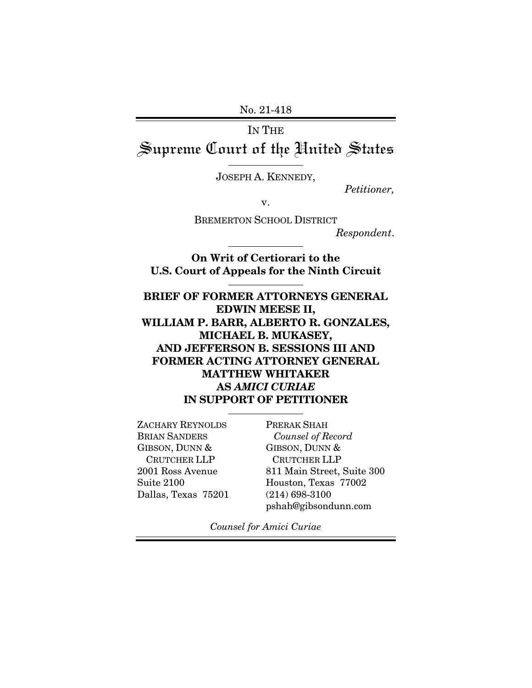No. 21-418

IN THE Supreme Court of the United States

JOSEPH A. KENNEDY,

 $\overline{a}$ 

 $\overline{a}$ 

 $\overline{a}$ 

*Petitioner,* 

v.

BREMERTON SCHOOL DISTRICT

*Respondent*.

**On Writ of Certiorari to the U.S. Court of Appeals for the Ninth Circuit** 

**BRIEF OF FORMER ATTORNEYS GENERAL EDWIN MEESE II, WILLIAM P. BARR, ALBERTO R. GONZALES, MICHAEL B. MUKASEY, AND JEFFERSON B. SESSIONS III AND FORMER ACTING ATTORNEY GENERAL MATTHEW WHITAKER AS** *AMICI CURIAE*  **IN SUPPORT OF PETITIONER** l

ZACHARY REYNOLDS BRIAN SANDERS GIBSON, DUNN & CRUTCHER LLP 2001 Ross Avenue Suite 2100 Dallas, Texas 75201

PRERAK SHAH  *Counsel of Record* GIBSON, DUNN & CRUTCHER LLP 811 Main Street, Suite 300 Houston, Texas 77002 (214) 698-3100 pshah@gibsondunn.com

*Counsel for Amici Curiae*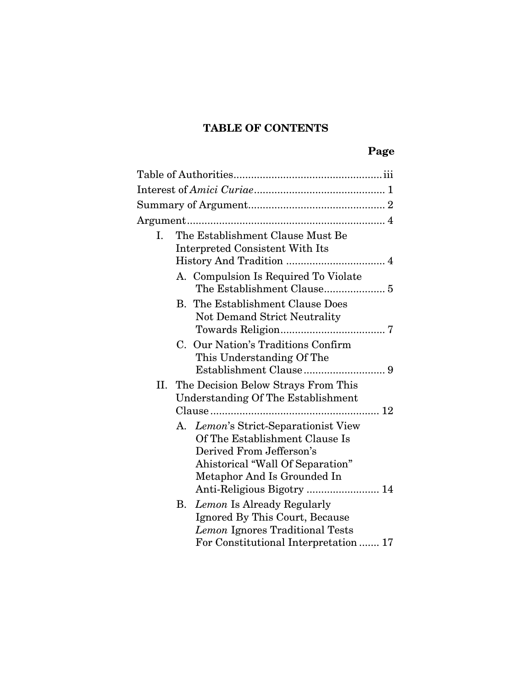# **TABLE OF CONTENTS**

# **Page**

| Ι.  | The Establishment Clause Must Be<br>Interpreted Consistent With Its                                                                                                   |
|-----|-----------------------------------------------------------------------------------------------------------------------------------------------------------------------|
|     | A. Compulsion Is Required To Violate                                                                                                                                  |
|     | <b>B.</b> The Establishment Clause Does<br><b>Not Demand Strict Neutrality</b>                                                                                        |
|     | C. Our Nation's Traditions Confirm<br>This Understanding Of The                                                                                                       |
| II. | The Decision Below Strays From This<br><b>Understanding Of The Establishment</b>                                                                                      |
|     | A. Lemon's Strict-Separationist View<br>Of The Establishment Clause Is<br>Derived From Jefferson's<br>Ahistorical "Wall Of Separation"<br>Metaphor And Is Grounded In |
|     | B. Lemon Is Already Regularly<br>Ignored By This Court, Because<br>Lemon Ignores Traditional Tests<br>For Constitutional Interpretation  17                           |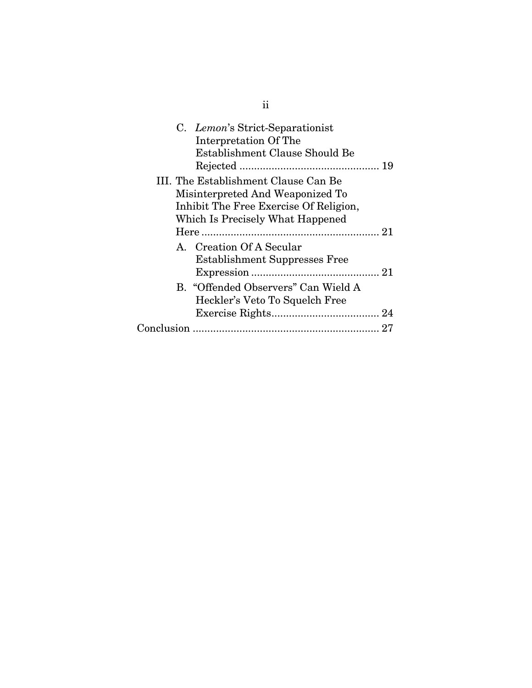|            | C. Lemon's Strict-Separationist<br>Interpretation Of The<br>Establishment Clause Should Be                                                             |  |  |
|------------|--------------------------------------------------------------------------------------------------------------------------------------------------------|--|--|
|            | III. The Establishment Clause Can Be<br>Misinterpreted And Weaponized To<br>Inhibit The Free Exercise Of Religion,<br>Which Is Precisely What Happened |  |  |
|            |                                                                                                                                                        |  |  |
|            | A. Creation Of A Secular<br><b>Establishment Suppresses Free</b>                                                                                       |  |  |
|            | B. "Offended Observers" Can Wield A<br>Heckler's Veto To Squelch Free                                                                                  |  |  |
|            |                                                                                                                                                        |  |  |
| Conclusion |                                                                                                                                                        |  |  |
|            |                                                                                                                                                        |  |  |

ii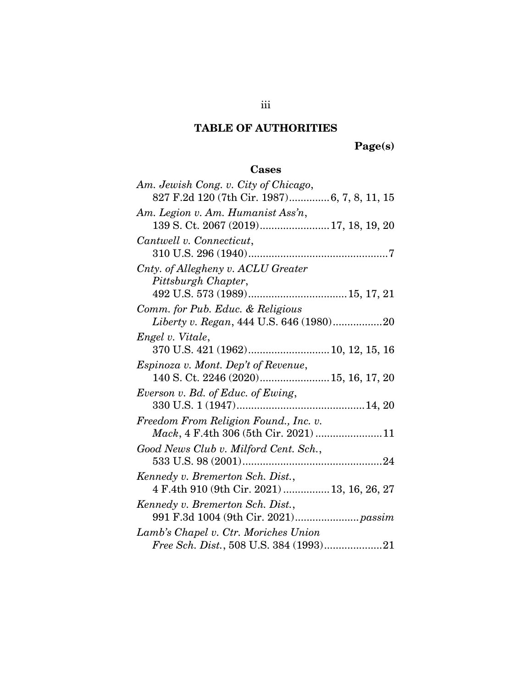# **TABLE OF AUTHORITIES**

**Page(s)** 

## **Cases**

| Am. Jewish Cong. v. City of Chicago,        |
|---------------------------------------------|
| 827 F.2d 120 (7th Cir. 1987)6, 7, 8, 11, 15 |
| Am. Legion v. Am. Humanist Ass'n,           |
| 139 S. Ct. 2067 (2019) 17, 18, 19, 20       |
| Cantwell v. Connecticut,                    |
|                                             |
| Cnty. of Allegheny v. ACLU Greater          |
| Pittsburgh Chapter,                         |
|                                             |
| Comm. for Pub. Educ. & Religious            |
| Liberty v. Regan, 444 U.S. 646 (1980)20     |
| Engel v. Vitale,                            |
|                                             |
| <i>Espinoza v. Mont. Dep't of Revenue,</i>  |
| 140 S. Ct. 2246 (2020) 15, 16, 17, 20       |
| Everson v. Bd. of Educ. of Ewing,           |
|                                             |
| Freedom From Religion Found., Inc. v.       |
|                                             |
| Good News Club v. Milford Cent. Sch.,       |
|                                             |
| Kennedy v. Bremerton Sch. Dist.,            |
| 4 F.4th 910 (9th Cir. 2021)  13, 16, 26, 27 |
| Kennedy v. Bremerton Sch. Dist.,            |
|                                             |
| Lamb's Chapel v. Ctr. Moriches Union        |
| Free Sch. Dist., 508 U.S. 384 (1993)21      |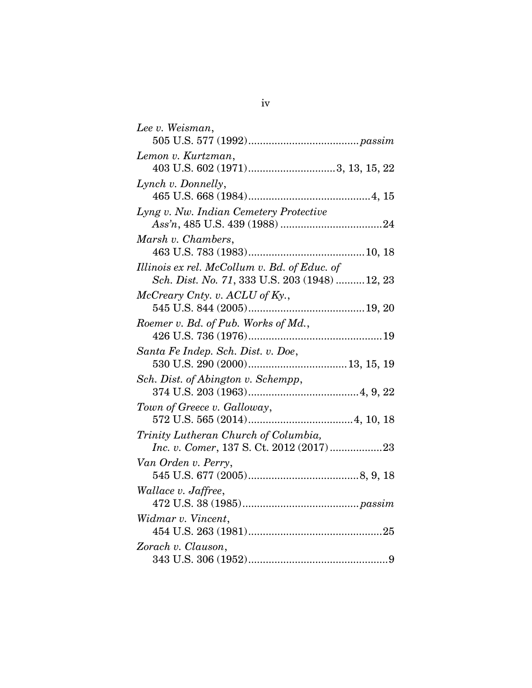| Lee v. Weisman,                                                                                |
|------------------------------------------------------------------------------------------------|
| Lemon v. Kurtzman,                                                                             |
| 403 U.S. 602 (1971)3, 13, 15, 22                                                               |
| Lynch v. Donnelly,                                                                             |
|                                                                                                |
| Lyng v. Nw. Indian Cemetery Protective                                                         |
| Marsh v. Chambers,                                                                             |
|                                                                                                |
| Illinois ex rel. McCollum v. Bd. of Educ. of<br>Sch. Dist. No. 71, 333 U.S. 203 (1948)  12, 23 |
| McCreary Cnty. v. ACLU of Ky.,                                                                 |
|                                                                                                |
| Roemer v. Bd. of Pub. Works of Md.,                                                            |
|                                                                                                |
| Santa Fe Indep. Sch. Dist. v. Doe,                                                             |
| Sch. Dist. of Abington v. Schempp,                                                             |
|                                                                                                |
| Town of Greece v. Galloway,                                                                    |
|                                                                                                |
| Trinity Lutheran Church of Columbia,<br>Inc. v. Comer, 137 S. Ct. 2012 (2017)23                |
| Van Orden v. Perry,                                                                            |
|                                                                                                |
| Wallace v. Jaffree,                                                                            |
|                                                                                                |
| Widmar v. Vincent,                                                                             |
| Zorach v. Clauson,                                                                             |
|                                                                                                |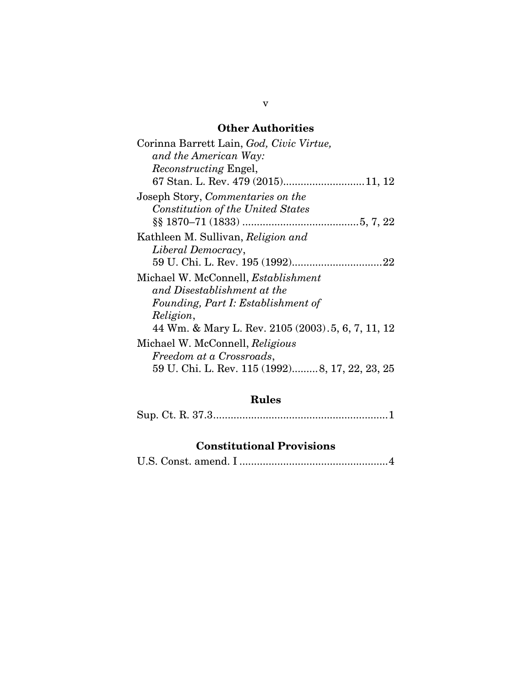## **Other Authorities**

| Corinna Barrett Lain, God, Civic Virtue,           |
|----------------------------------------------------|
| and the American Way:                              |
| <i>Reconstructing Engel,</i>                       |
| 67 Stan. L. Rev. 479 (2015)11, 12                  |
| Joseph Story, Commentaries on the                  |
| Constitution of the United States                  |
|                                                    |
| Kathleen M. Sullivan, Religion and                 |
| Liberal Democracy,                                 |
|                                                    |
| Michael W. McConnell, <i>Establishment</i>         |
| and Disestablishment at the                        |
| Founding, Part I: Establishment of                 |
| Religion,                                          |
| 44 Wm. & Mary L. Rev. 2105 (2003). 5, 6, 7, 11, 12 |
| Michael W. McConnell, Religious                    |
| Freedom at a Crossroads,                           |
| 59 U. Chi. L. Rev. 115 (1992)8, 17, 22, 23, 25     |

# **Rules**

Sup. Ct. R. 37.3 ............................................................ 1

## **Constitutional Provisions**

|--|--|--|--|--|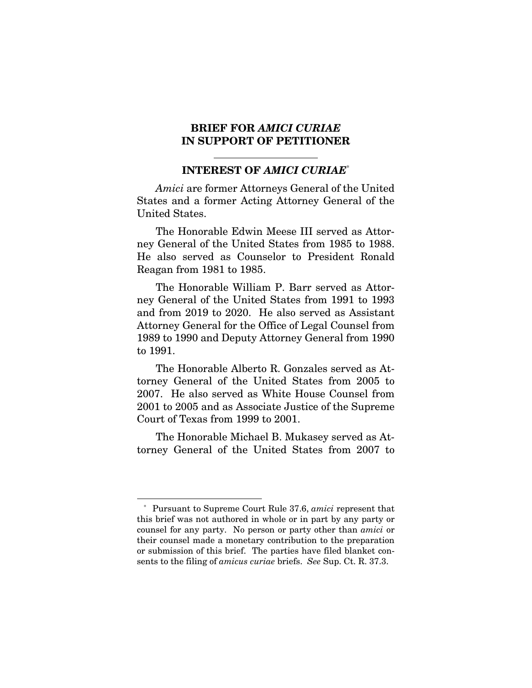#### **BRIEF FOR** *AMICI CURIAE* **IN SUPPORT OF PETITIONER**

#### **INTEREST OF** *AMICI CURIAE*\*

*Amici* are former Attorneys General of the United States and a former Acting Attorney General of the United States.

The Honorable Edwin Meese III served as Attorney General of the United States from 1985 to 1988. He also served as Counselor to President Ronald Reagan from 1981 to 1985.

The Honorable William P. Barr served as Attorney General of the United States from 1991 to 1993 and from 2019 to 2020. He also served as Assistant Attorney General for the Office of Legal Counsel from 1989 to 1990 and Deputy Attorney General from 1990 to 1991.

The Honorable Alberto R. Gonzales served as Attorney General of the United States from 2005 to 2007. He also served as White House Counsel from 2001 to 2005 and as Associate Justice of the Supreme Court of Texas from 1999 to 2001.

The Honorable Michael B. Mukasey served as Attorney General of the United States from 2007 to

 $\overline{a}$ 

<sup>\*</sup> Pursuant to Supreme Court Rule 37.6, *amici* represent that this brief was not authored in whole or in part by any party or counsel for any party. No person or party other than *amici* or their counsel made a monetary contribution to the preparation or submission of this brief. The parties have filed blanket consents to the filing of *amicus curiae* briefs. *See* Sup. Ct. R. 37.3.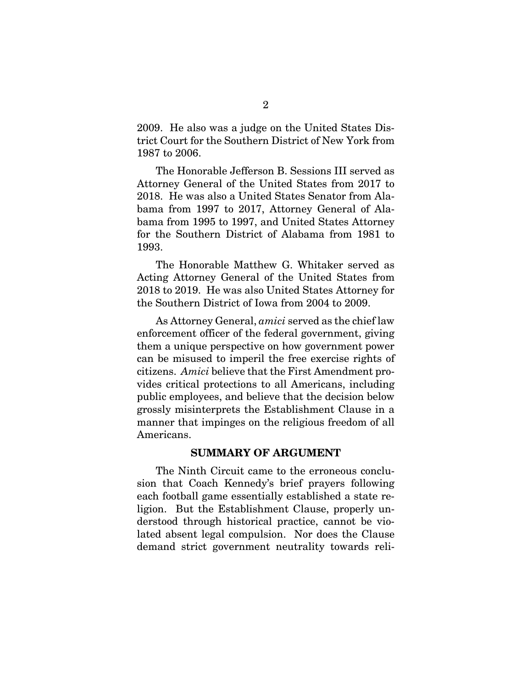2009. He also was a judge on the United States District Court for the Southern District of New York from 1987 to 2006.

The Honorable Jefferson B. Sessions III served as Attorney General of the United States from 2017 to 2018. He was also a United States Senator from Alabama from 1997 to 2017, Attorney General of Alabama from 1995 to 1997, and United States Attorney for the Southern District of Alabama from 1981 to 1993.

The Honorable Matthew G. Whitaker served as Acting Attorney General of the United States from 2018 to 2019. He was also United States Attorney for the Southern District of Iowa from 2004 to 2009.

As Attorney General, *amici* served as the chief law enforcement officer of the federal government, giving them a unique perspective on how government power can be misused to imperil the free exercise rights of citizens. *Amici* believe that the First Amendment provides critical protections to all Americans, including public employees, and believe that the decision below grossly misinterprets the Establishment Clause in a manner that impinges on the religious freedom of all Americans.

#### **SUMMARY OF ARGUMENT**

The Ninth Circuit came to the erroneous conclusion that Coach Kennedy's brief prayers following each football game essentially established a state religion. But the Establishment Clause, properly understood through historical practice, cannot be violated absent legal compulsion. Nor does the Clause demand strict government neutrality towards reli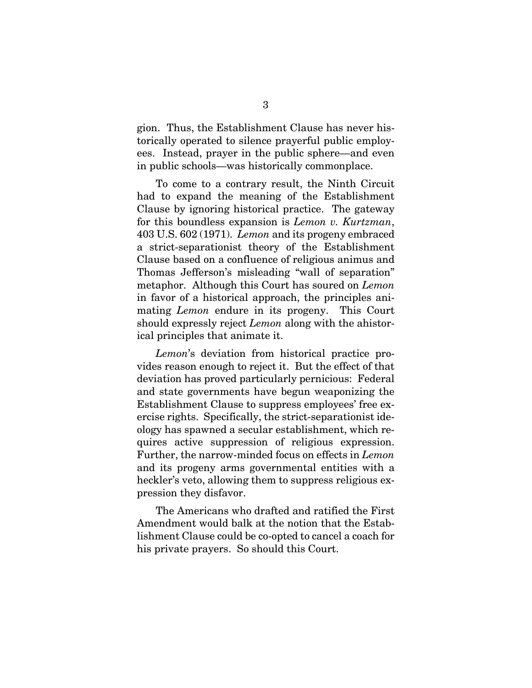gion. Thus, the Establishment Clause has never historically operated to silence prayerful public employees. Instead, prayer in the public sphere—and even in public schools—was historically commonplace.

To come to a contrary result, the Ninth Circuit had to expand the meaning of the Establishment Clause by ignoring historical practice. The gateway for this boundless expansion is *Lemon v. Kurtzman*, 403 U.S. 602 (1971). *Lemon* and its progeny embraced a strict-separationist theory of the Establishment Clause based on a confluence of religious animus and Thomas Jefferson's misleading "wall of separation" metaphor. Although this Court has soured on *Lemon* in favor of a historical approach, the principles animating *Lemon* endure in its progeny. This Court should expressly reject *Lemon* along with the ahistorical principles that animate it.

*Lemon*'s deviation from historical practice provides reason enough to reject it. But the effect of that deviation has proved particularly pernicious: Federal and state governments have begun weaponizing the Establishment Clause to suppress employees' free exercise rights. Specifically, the strict-separationist ideology has spawned a secular establishment, which requires active suppression of religious expression. Further, the narrow-minded focus on effects in *Lemon* and its progeny arms governmental entities with a heckler's veto, allowing them to suppress religious expression they disfavor.

The Americans who drafted and ratified the First Amendment would balk at the notion that the Establishment Clause could be co-opted to cancel a coach for his private prayers. So should this Court.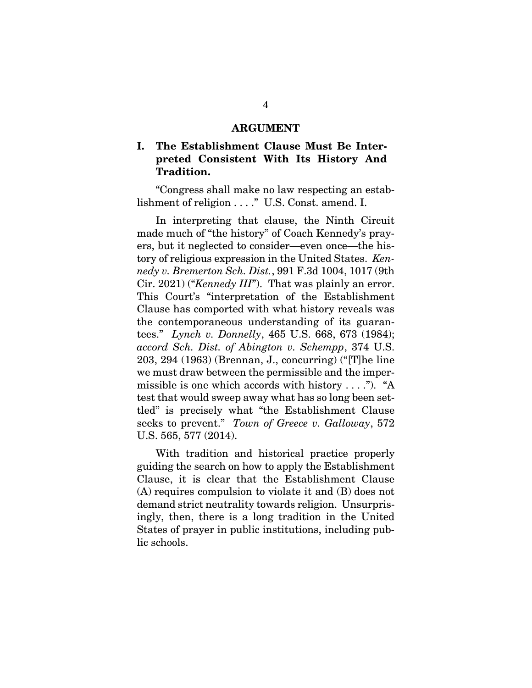#### **ARGUMENT**

## **I. The Establishment Clause Must Be Interpreted Consistent With Its History And Tradition.**

"Congress shall make no law respecting an establishment of religion . . . ." U.S. Const. amend. I.

In interpreting that clause, the Ninth Circuit made much of "the history" of Coach Kennedy's prayers, but it neglected to consider—even once—the history of religious expression in the United States. *Kennedy v. Bremerton Sch. Dist.*, 991 F.3d 1004, 1017 (9th Cir. 2021) ("*Kennedy III*"). That was plainly an error. This Court's "interpretation of the Establishment Clause has comported with what history reveals was the contemporaneous understanding of its guarantees." *Lynch v. Donnelly*, 465 U.S. 668, 673 (1984); *accord Sch. Dist. of Abington v. Schempp*, 374 U.S. 203, 294 (1963) (Brennan, J., concurring) ("[T]he line we must draw between the permissible and the impermissible is one which accords with history  $\dots$ ."). "A test that would sweep away what has so long been settled" is precisely what "the Establishment Clause seeks to prevent." *Town of Greece v. Galloway*, 572 U.S. 565, 577 (2014).

With tradition and historical practice properly guiding the search on how to apply the Establishment Clause, it is clear that the Establishment Clause (A) requires compulsion to violate it and (B) does not demand strict neutrality towards religion. Unsurprisingly, then, there is a long tradition in the United States of prayer in public institutions, including public schools.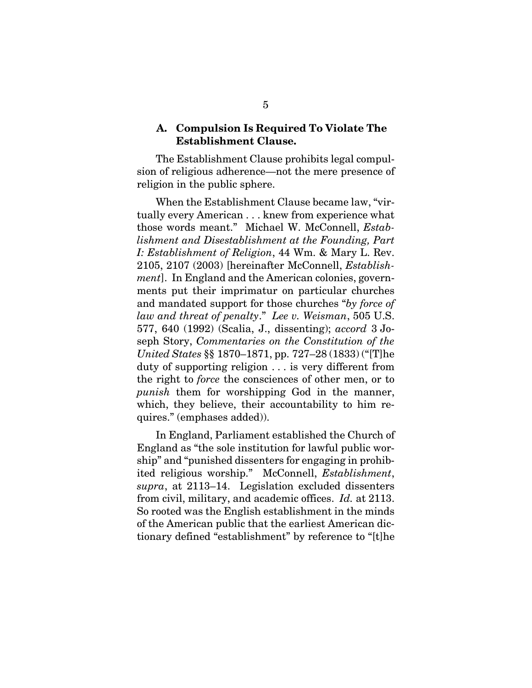#### **A. Compulsion Is Required To Violate The Establishment Clause.**

The Establishment Clause prohibits legal compulsion of religious adherence—not the mere presence of religion in the public sphere.

When the Establishment Clause became law, "virtually every American . . . knew from experience what those words meant." Michael W. McConnell, *Establishment and Disestablishment at the Founding, Part I: Establishment of Religion*, 44 Wm. & Mary L. Rev. 2105, 2107 (2003) [hereinafter McConnell, *Establishment*]. In England and the American colonies, governments put their imprimatur on particular churches and mandated support for those churches "*by force of law and threat of penalty*." *Lee v. Weisman*, 505 U.S. 577, 640 (1992) (Scalia, J., dissenting); *accord* 3 Joseph Story, *Commentaries on the Constitution of the United States* §§ 1870–1871, pp. 727–28 (1833) ("[T]he duty of supporting religion . . . is very different from the right to *force* the consciences of other men, or to *punish* them for worshipping God in the manner, which, they believe, their accountability to him requires." (emphases added)).

In England, Parliament established the Church of England as "the sole institution for lawful public worship" and "punished dissenters for engaging in prohibited religious worship." McConnell, *Establishment*, *supra*, at 2113–14. Legislation excluded dissenters from civil, military, and academic offices. *Id.* at 2113. So rooted was the English establishment in the minds of the American public that the earliest American dictionary defined "establishment" by reference to "[t]he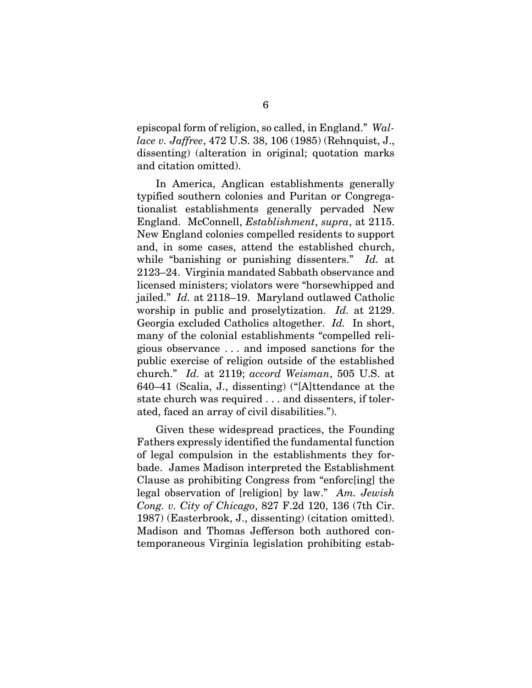episcopal form of religion, so called, in England." *Wallace v. Jaffree*, 472 U.S. 38, 106 (1985) (Rehnquist, J., dissenting) (alteration in original; quotation marks and citation omitted).

In America, Anglican establishments generally typified southern colonies and Puritan or Congregationalist establishments generally pervaded New England. McConnell, *Establishment*, *supra*, at 2115. New England colonies compelled residents to support and, in some cases, attend the established church, while "banishing or punishing dissenters." *Id.* at 2123–24. Virginia mandated Sabbath observance and licensed ministers; violators were "horsewhipped and jailed." *Id.* at 2118–19. Maryland outlawed Catholic worship in public and proselytization. *Id.* at 2129. Georgia excluded Catholics altogether. *Id.* In short, many of the colonial establishments "compelled religious observance . . . and imposed sanctions for the public exercise of religion outside of the established church." *Id.* at 2119; *accord Weisman*, 505 U.S. at 640–41 (Scalia, J., dissenting) ("[A]ttendance at the state church was required . . . and dissenters, if tolerated, faced an array of civil disabilities.").

Given these widespread practices, the Founding Fathers expressly identified the fundamental function of legal compulsion in the establishments they forbade. James Madison interpreted the Establishment Clause as prohibiting Congress from "enforc[ing] the legal observation of [religion] by law." *Am. Jewish Cong. v. City of Chicago*, 827 F.2d 120, 136 (7th Cir. 1987) (Easterbrook, J., dissenting) (citation omitted). Madison and Thomas Jefferson both authored contemporaneous Virginia legislation prohibiting estab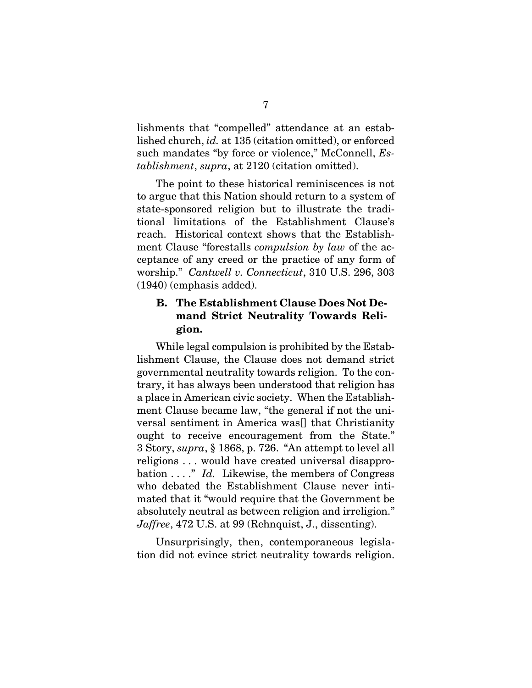lishments that "compelled" attendance at an established church, *id.* at 135 (citation omitted), or enforced such mandates "by force or violence," McConnell, *Establishment*, *supra*, at 2120 (citation omitted).

The point to these historical reminiscences is not to argue that this Nation should return to a system of state-sponsored religion but to illustrate the traditional limitations of the Establishment Clause's reach. Historical context shows that the Establishment Clause "forestalls *compulsion by law* of the acceptance of any creed or the practice of any form of worship." *Cantwell v. Connecticut*, 310 U.S. 296, 303 (1940) (emphasis added).

### **B. The Establishment Clause Does Not Demand Strict Neutrality Towards Religion.**

While legal compulsion is prohibited by the Establishment Clause, the Clause does not demand strict governmental neutrality towards religion. To the contrary, it has always been understood that religion has a place in American civic society. When the Establishment Clause became law, "the general if not the universal sentiment in America was[] that Christianity ought to receive encouragement from the State." 3 Story, *supra*, § 1868, p. 726. "An attempt to level all religions . . . would have created universal disapprobation . . . ." *Id.* Likewise, the members of Congress who debated the Establishment Clause never intimated that it "would require that the Government be absolutely neutral as between religion and irreligion." *Jaffree*, 472 U.S. at 99 (Rehnquist, J., dissenting).

Unsurprisingly, then, contemporaneous legislation did not evince strict neutrality towards religion.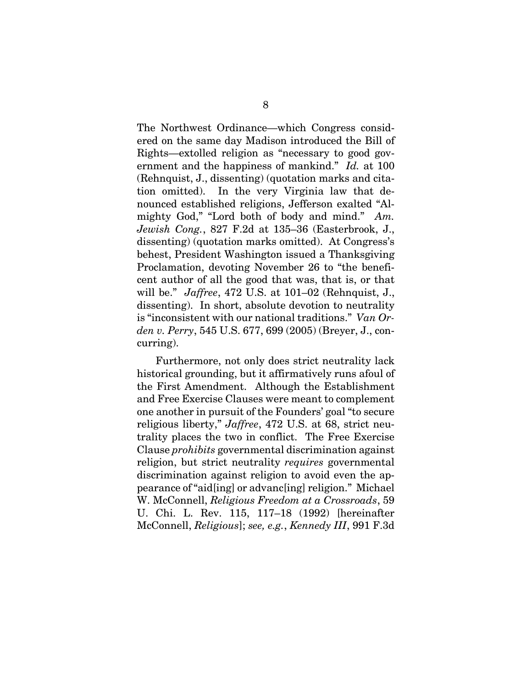The Northwest Ordinance—which Congress considered on the same day Madison introduced the Bill of Rights—extolled religion as "necessary to good government and the happiness of mankind." *Id.* at 100 (Rehnquist, J., dissenting) (quotation marks and citation omitted). In the very Virginia law that denounced established religions, Jefferson exalted "Almighty God," "Lord both of body and mind." *Am. Jewish Cong.*, 827 F.2d at 135–36 (Easterbrook, J., dissenting) (quotation marks omitted). At Congress's behest, President Washington issued a Thanksgiving Proclamation, devoting November 26 to "the beneficent author of all the good that was, that is, or that will be." *Jaffree*, 472 U.S. at 101–02 (Rehnquist, J., dissenting). In short, absolute devotion to neutrality is "inconsistent with our national traditions." *Van Orden v. Perry*, 545 U.S. 677, 699 (2005) (Breyer, J., concurring).

Furthermore, not only does strict neutrality lack historical grounding, but it affirmatively runs afoul of the First Amendment. Although the Establishment and Free Exercise Clauses were meant to complement one another in pursuit of the Founders' goal "to secure religious liberty," *Jaffree*, 472 U.S. at 68, strict neutrality places the two in conflict. The Free Exercise Clause *prohibits* governmental discrimination against religion, but strict neutrality *requires* governmental discrimination against religion to avoid even the appearance of "aid[ing] or advanc[ing] religion." Michael W. McConnell, *Religious Freedom at a Crossroads*, 59 U. Chi. L. Rev. 115, 117–18 (1992) [hereinafter McConnell, *Religious*]; *see, e.g.*, *Kennedy III*, 991 F.3d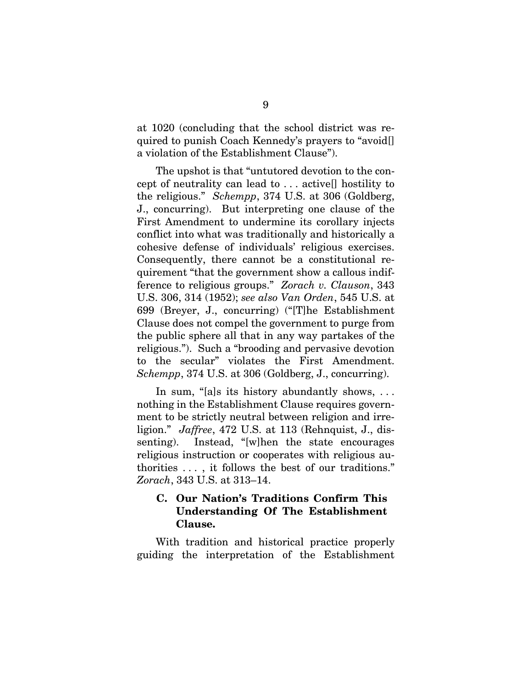at 1020 (concluding that the school district was required to punish Coach Kennedy's prayers to "avoid[] a violation of the Establishment Clause").

The upshot is that "untutored devotion to the concept of neutrality can lead to . . . active[] hostility to the religious." *Schempp*, 374 U.S. at 306 (Goldberg, J., concurring). But interpreting one clause of the First Amendment to undermine its corollary injects conflict into what was traditionally and historically a cohesive defense of individuals' religious exercises. Consequently, there cannot be a constitutional requirement "that the government show a callous indifference to religious groups." *Zorach v. Clauson*, 343 U.S. 306, 314 (1952); *see also Van Orden*, 545 U.S. at 699 (Breyer, J., concurring) ("[T]he Establishment Clause does not compel the government to purge from the public sphere all that in any way partakes of the religious."). Such a "brooding and pervasive devotion to the secular" violates the First Amendment. *Schempp*, 374 U.S. at 306 (Goldberg, J., concurring).

In sum, "[a]s its history abundantly shows, ... nothing in the Establishment Clause requires government to be strictly neutral between religion and irreligion." *Jaffree*, 472 U.S. at 113 (Rehnquist, J., dissenting). Instead, "[w]hen the state encourages religious instruction or cooperates with religious authorities . . . , it follows the best of our traditions." *Zorach*, 343 U.S. at 313–14.

### **C. Our Nation's Traditions Confirm This Understanding Of The Establishment Clause.**

With tradition and historical practice properly guiding the interpretation of the Establishment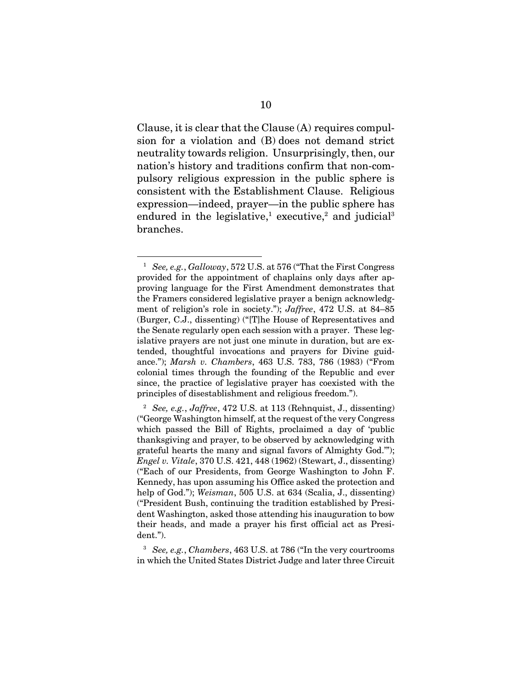Clause, it is clear that the Clause (A) requires compulsion for a violation and (B) does not demand strict neutrality towards religion. Unsurprisingly, then, our nation's history and traditions confirm that non-compulsory religious expression in the public sphere is consistent with the Establishment Clause. Religious expression—indeed, prayer—in the public sphere has endured in the legislative,<sup>1</sup> executive,<sup>2</sup> and judicial<sup>3</sup> branches.

 $\overline{a}$ 

<sup>1</sup> *See, e.g.*, *Galloway*, 572 U.S. at 576 ("That the First Congress provided for the appointment of chaplains only days after approving language for the First Amendment demonstrates that the Framers considered legislative prayer a benign acknowledgment of religion's role in society."); *Jaffree*, 472 U.S. at 84–85 (Burger, C.J., dissenting) ("[T]he House of Representatives and the Senate regularly open each session with a prayer. These legislative prayers are not just one minute in duration, but are extended, thoughtful invocations and prayers for Divine guidance."); *Marsh v. Chambers*, 463 U.S. 783, 786 (1983) ("From colonial times through the founding of the Republic and ever since, the practice of legislative prayer has coexisted with the principles of disestablishment and religious freedom.").

<sup>2</sup> *See, e.g.*, *Jaffree*, 472 U.S. at 113 (Rehnquist, J., dissenting) ("George Washington himself, at the request of the very Congress which passed the Bill of Rights, proclaimed a day of 'public thanksgiving and prayer, to be observed by acknowledging with grateful hearts the many and signal favors of Almighty God.'"); *Engel v. Vitale*, 370 U.S. 421, 448 (1962) (Stewart, J., dissenting) ("Each of our Presidents, from George Washington to John F. Kennedy, has upon assuming his Office asked the protection and help of God."); *Weisman*, 505 U.S. at 634 (Scalia, J., dissenting) ("President Bush, continuing the tradition established by President Washington, asked those attending his inauguration to bow their heads, and made a prayer his first official act as President.").

<sup>3</sup> *See, e.g.*, *Chambers*, 463 U.S. at 786 ("In the very courtrooms in which the United States District Judge and later three Circuit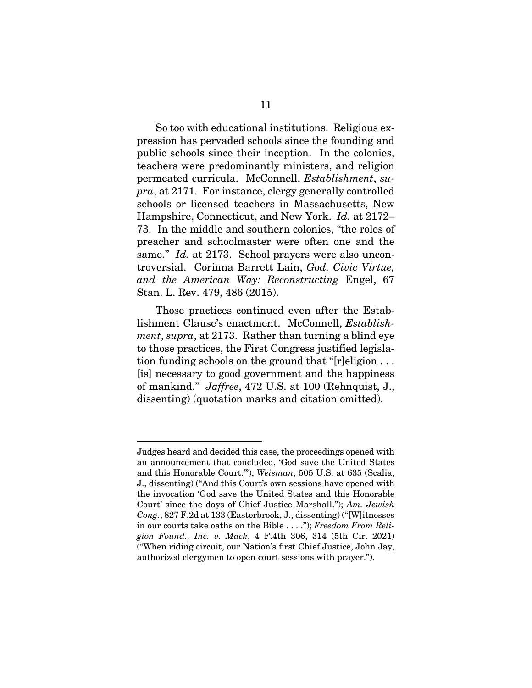So too with educational institutions. Religious expression has pervaded schools since the founding and public schools since their inception. In the colonies, teachers were predominantly ministers, and religion permeated curricula. McConnell, *Establishment*, *supra*, at 2171. For instance, clergy generally controlled schools or licensed teachers in Massachusetts, New Hampshire, Connecticut, and New York. *Id.* at 2172– 73. In the middle and southern colonies, "the roles of preacher and schoolmaster were often one and the same." *Id.* at 2173. School prayers were also uncontroversial. Corinna Barrett Lain, *God, Civic Virtue, and the American Way: Reconstructing* Engel, 67 Stan. L. Rev. 479, 486 (2015).

Those practices continued even after the Establishment Clause's enactment. McConnell, *Establishment*, *supra*, at 2173. Rather than turning a blind eye to those practices, the First Congress justified legislation funding schools on the ground that "[r]eligion . . . [is] necessary to good government and the happiness of mankind." *Jaffree*, 472 U.S. at 100 (Rehnquist, J., dissenting) (quotation marks and citation omitted).

Judges heard and decided this case, the proceedings opened with an announcement that concluded, 'God save the United States and this Honorable Court.'"); *Weisman*, 505 U.S. at 635 (Scalia, J., dissenting) ("And this Court's own sessions have opened with the invocation 'God save the United States and this Honorable Court' since the days of Chief Justice Marshall."); *Am. Jewish Cong.*, 827 F.2d at 133 (Easterbrook, J., dissenting) ("[W]itnesses in our courts take oaths on the Bible . . . ."); *Freedom From Religion Found., Inc. v. Mack*, 4 F.4th 306, 314 (5th Cir. 2021) ("When riding circuit, our Nation's first Chief Justice, John Jay, authorized clergymen to open court sessions with prayer.").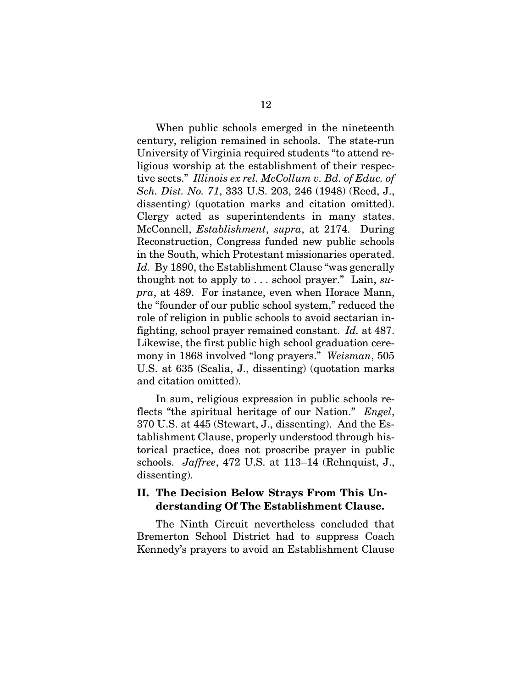When public schools emerged in the nineteenth century, religion remained in schools. The state-run University of Virginia required students "to attend religious worship at the establishment of their respective sects." *Illinois ex rel. McCollum v. Bd. of Educ. of Sch. Dist. No. 71*, 333 U.S. 203, 246 (1948) (Reed, J., dissenting) (quotation marks and citation omitted). Clergy acted as superintendents in many states. McConnell, *Establishment*, *supra*, at 2174. During Reconstruction, Congress funded new public schools in the South, which Protestant missionaries operated. *Id.* By 1890, the Establishment Clause "was generally thought not to apply to . . . school prayer." Lain, *supra*, at 489. For instance, even when Horace Mann, the "founder of our public school system," reduced the role of religion in public schools to avoid sectarian infighting, school prayer remained constant. *Id.* at 487. Likewise, the first public high school graduation ceremony in 1868 involved "long prayers." *Weisman*, 505 U.S. at 635 (Scalia, J., dissenting) (quotation marks and citation omitted).

In sum, religious expression in public schools reflects "the spiritual heritage of our Nation." *Engel*, 370 U.S. at 445 (Stewart, J., dissenting). And the Establishment Clause, properly understood through historical practice, does not proscribe prayer in public schools. *Jaffree*, 472 U.S. at 113–14 (Rehnquist, J., dissenting).

### **II. The Decision Below Strays From This Understanding Of The Establishment Clause.**

The Ninth Circuit nevertheless concluded that Bremerton School District had to suppress Coach Kennedy's prayers to avoid an Establishment Clause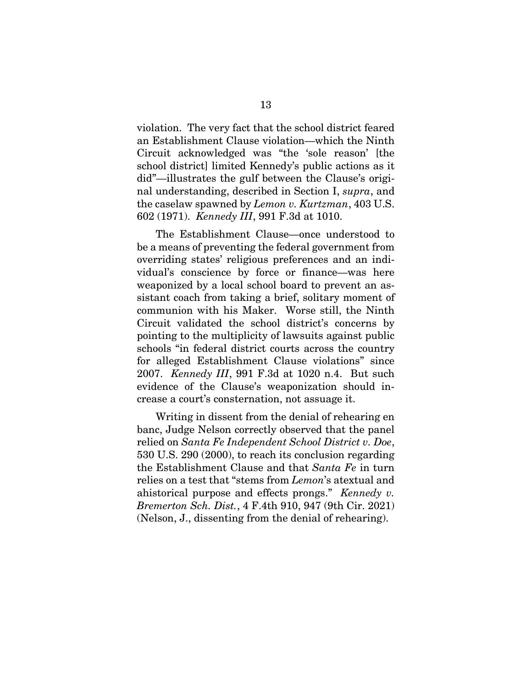violation. The very fact that the school district feared an Establishment Clause violation—which the Ninth Circuit acknowledged was "the 'sole reason' [the school district] limited Kennedy's public actions as it did"—illustrates the gulf between the Clause's original understanding, described in Section I, *supra*, and the caselaw spawned by *Lemon v. Kurtzman*, 403 U.S. 602 (1971). *Kennedy III*, 991 F.3d at 1010.

The Establishment Clause—once understood to be a means of preventing the federal government from overriding states' religious preferences and an individual's conscience by force or finance—was here weaponized by a local school board to prevent an assistant coach from taking a brief, solitary moment of communion with his Maker. Worse still, the Ninth Circuit validated the school district's concerns by pointing to the multiplicity of lawsuits against public schools "in federal district courts across the country for alleged Establishment Clause violations" since 2007. *Kennedy III*, 991 F.3d at 1020 n.4. But such evidence of the Clause's weaponization should increase a court's consternation, not assuage it.

Writing in dissent from the denial of rehearing en banc, Judge Nelson correctly observed that the panel relied on *Santa Fe Independent School District v. Doe*, 530 U.S. 290 (2000), to reach its conclusion regarding the Establishment Clause and that *Santa Fe* in turn relies on a test that "stems from *Lemon*'s atextual and ahistorical purpose and effects prongs." *Kennedy v. Bremerton Sch. Dist.*, 4 F.4th 910, 947 (9th Cir. 2021) (Nelson, J., dissenting from the denial of rehearing).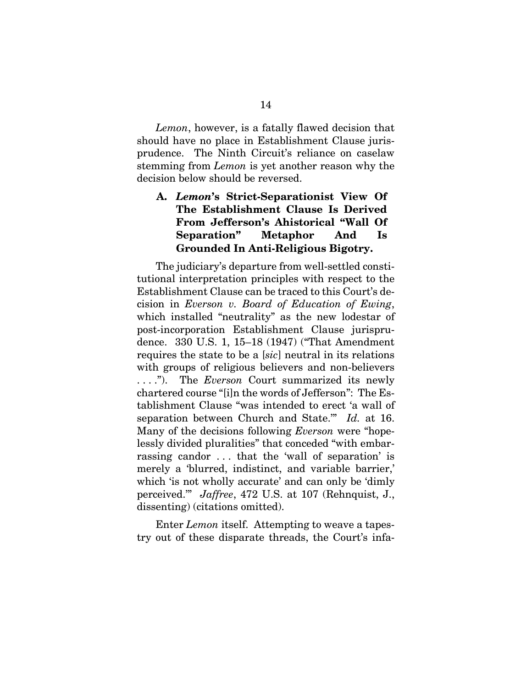*Lemon*, however, is a fatally flawed decision that should have no place in Establishment Clause jurisprudence. The Ninth Circuit's reliance on caselaw stemming from *Lemon* is yet another reason why the decision below should be reversed.

## **A.** *Lemon***'s Strict-Separationist View Of The Establishment Clause Is Derived From Jefferson's Ahistorical "Wall Of Separation" Metaphor And Is Grounded In Anti-Religious Bigotry.**

The judiciary's departure from well-settled constitutional interpretation principles with respect to the Establishment Clause can be traced to this Court's decision in *Everson v. Board of Education of Ewing*, which installed "neutrality" as the new lodestar of post-incorporation Establishment Clause jurisprudence. 330 U.S. 1, 15–18 (1947) ("That Amendment requires the state to be a [*sic*] neutral in its relations with groups of religious believers and non-believers . . . ."). The *Everson* Court summarized its newly chartered course "[i]n the words of Jefferson": The Establishment Clause "was intended to erect 'a wall of separation between Church and State.'" *Id.* at 16. Many of the decisions following *Everson* were "hopelessly divided pluralities" that conceded "with embarrassing candor . . . that the 'wall of separation' is merely a 'blurred, indistinct, and variable barrier,' which 'is not wholly accurate' and can only be 'dimly perceived.'" *Jaffree*, 472 U.S. at 107 (Rehnquist, J., dissenting) (citations omitted).

Enter *Lemon* itself. Attempting to weave a tapestry out of these disparate threads, the Court's infa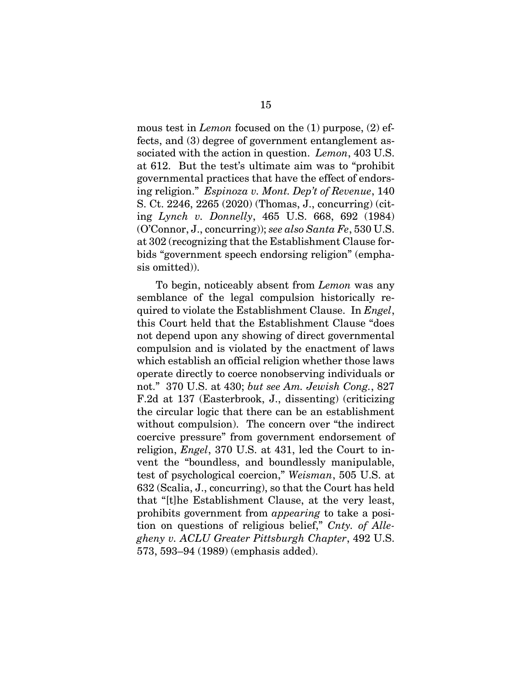mous test in *Lemon* focused on the (1) purpose, (2) effects, and (3) degree of government entanglement associated with the action in question. *Lemon*, 403 U.S. at 612. But the test's ultimate aim was to "prohibit governmental practices that have the effect of endorsing religion." *Espinoza v. Mont. Dep't of Revenue*, 140 S. Ct. 2246, 2265 (2020) (Thomas, J., concurring) (citing *Lynch v. Donnelly*, 465 U.S. 668, 692 (1984) (O'Connor, J., concurring)); *see also Santa Fe*, 530 U.S. at 302 (recognizing that the Establishment Clause forbids "government speech endorsing religion" (emphasis omitted)).

To begin, noticeably absent from *Lemon* was any semblance of the legal compulsion historically required to violate the Establishment Clause. In *Engel*, this Court held that the Establishment Clause "does not depend upon any showing of direct governmental compulsion and is violated by the enactment of laws which establish an official religion whether those laws operate directly to coerce nonobserving individuals or not." 370 U.S. at 430; *but see Am. Jewish Cong.*, 827 F.2d at 137 (Easterbrook, J., dissenting) (criticizing the circular logic that there can be an establishment without compulsion). The concern over "the indirect coercive pressure" from government endorsement of religion, *Engel*, 370 U.S. at 431, led the Court to invent the "boundless, and boundlessly manipulable, test of psychological coercion," *Weisman*, 505 U.S. at 632 (Scalia, J., concurring), so that the Court has held that "[t]he Establishment Clause, at the very least, prohibits government from *appearing* to take a position on questions of religious belief," *Cnty. of Allegheny v. ACLU Greater Pittsburgh Chapter*, 492 U.S. 573, 593–94 (1989) (emphasis added).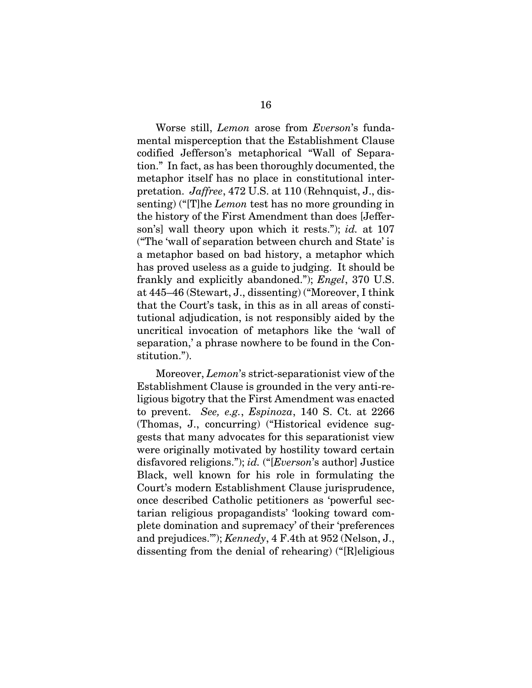Worse still, *Lemon* arose from *Everson*'s fundamental misperception that the Establishment Clause codified Jefferson's metaphorical "Wall of Separation." In fact, as has been thoroughly documented, the metaphor itself has no place in constitutional interpretation. *Jaffree*, 472 U.S. at 110 (Rehnquist, J., dissenting) ("[T]he *Lemon* test has no more grounding in the history of the First Amendment than does [Jefferson's] wall theory upon which it rests."); *id.* at 107 ("The 'wall of separation between church and State' is a metaphor based on bad history, a metaphor which has proved useless as a guide to judging. It should be frankly and explicitly abandoned."); *Engel*, 370 U.S. at 445–46 (Stewart, J., dissenting) ("Moreover, I think that the Court's task, in this as in all areas of constitutional adjudication, is not responsibly aided by the uncritical invocation of metaphors like the 'wall of separation,' a phrase nowhere to be found in the Constitution.").

Moreover, *Lemon*'s strict-separationist view of the Establishment Clause is grounded in the very anti-religious bigotry that the First Amendment was enacted to prevent. *See, e.g.*, *Espinoza*, 140 S. Ct. at 2266 (Thomas, J., concurring) ("Historical evidence suggests that many advocates for this separationist view were originally motivated by hostility toward certain disfavored religions."); *id.* ("[*Everson*'s author] Justice Black, well known for his role in formulating the Court's modern Establishment Clause jurisprudence, once described Catholic petitioners as 'powerful sectarian religious propagandists' 'looking toward complete domination and supremacy' of their 'preferences and prejudices.'"); *Kennedy*, 4 F.4th at 952 (Nelson, J., dissenting from the denial of rehearing) ("[R]eligious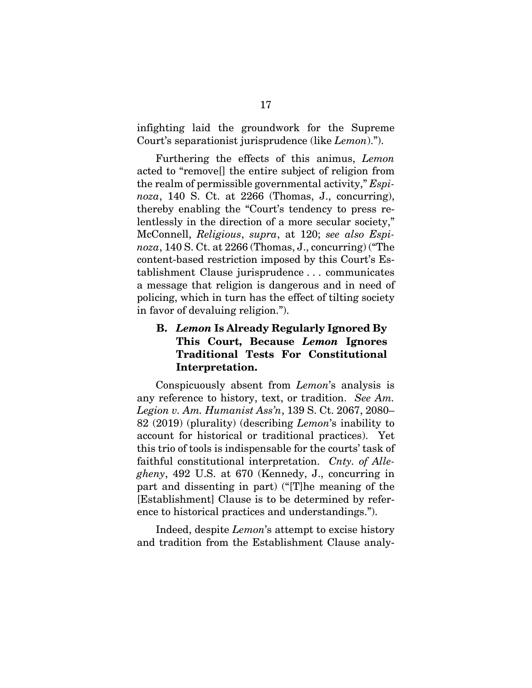infighting laid the groundwork for the Supreme Court's separationist jurisprudence (like *Lemon*).").

Furthering the effects of this animus, *Lemon* acted to "remove[] the entire subject of religion from the realm of permissible governmental activity," *Espinoza*, 140 S. Ct. at 2266 (Thomas, J., concurring), thereby enabling the "Court's tendency to press relentlessly in the direction of a more secular society," McConnell, *Religious*, *supra*, at 120; *see also Espinoza*, 140 S. Ct. at 2266 (Thomas, J., concurring) ("The content-based restriction imposed by this Court's Establishment Clause jurisprudence . . . communicates a message that religion is dangerous and in need of policing, which in turn has the effect of tilting society in favor of devaluing religion.").

## **B.** *Lemon* **Is Already Regularly Ignored By This Court, Because** *Lemon* **Ignores Traditional Tests For Constitutional Interpretation.**

Conspicuously absent from *Lemon*'s analysis is any reference to history, text, or tradition. *See Am. Legion v. Am. Humanist Ass'n*, 139 S. Ct. 2067, 2080– 82 (2019) (plurality) (describing *Lemon*'s inability to account for historical or traditional practices). Yet this trio of tools is indispensable for the courts' task of faithful constitutional interpretation. *Cnty. of Allegheny*, 492 U.S. at 670 (Kennedy, J., concurring in part and dissenting in part) ("[T]he meaning of the [Establishment] Clause is to be determined by reference to historical practices and understandings.").

Indeed, despite *Lemon*'s attempt to excise history and tradition from the Establishment Clause analy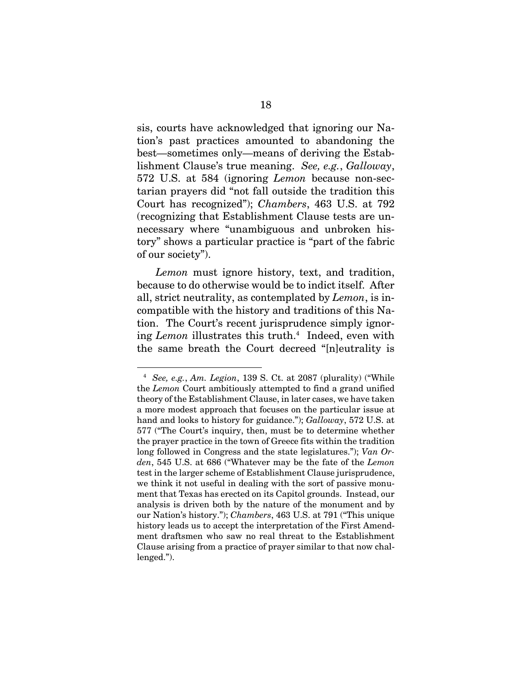sis, courts have acknowledged that ignoring our Nation's past practices amounted to abandoning the best—sometimes only—means of deriving the Establishment Clause's true meaning. *See, e.g.*, *Galloway*, 572 U.S. at 584 (ignoring *Lemon* because non-sectarian prayers did "not fall outside the tradition this Court has recognized"); *Chambers*, 463 U.S. at 792 (recognizing that Establishment Clause tests are unnecessary where "unambiguous and unbroken history" shows a particular practice is "part of the fabric of our society").

*Lemon* must ignore history, text, and tradition, because to do otherwise would be to indict itself. After all, strict neutrality, as contemplated by *Lemon*, is incompatible with the history and traditions of this Nation. The Court's recent jurisprudence simply ignoring *Lemon* illustrates this truth.4 Indeed, even with the same breath the Court decreed "[n]eutrality is

<sup>4</sup> *See, e.g.*, *Am. Legion*, 139 S. Ct. at 2087 (plurality) ("While the *Lemon* Court ambitiously attempted to find a grand unified theory of the Establishment Clause, in later cases, we have taken a more modest approach that focuses on the particular issue at hand and looks to history for guidance."); *Galloway*, 572 U.S. at 577 ("The Court's inquiry, then, must be to determine whether the prayer practice in the town of Greece fits within the tradition long followed in Congress and the state legislatures."); *Van Orden*, 545 U.S. at 686 ("Whatever may be the fate of the *Lemon* test in the larger scheme of Establishment Clause jurisprudence, we think it not useful in dealing with the sort of passive monument that Texas has erected on its Capitol grounds. Instead, our analysis is driven both by the nature of the monument and by our Nation's history."); *Chambers*, 463 U.S. at 791 ("This unique history leads us to accept the interpretation of the First Amendment draftsmen who saw no real threat to the Establishment Clause arising from a practice of prayer similar to that now challenged.").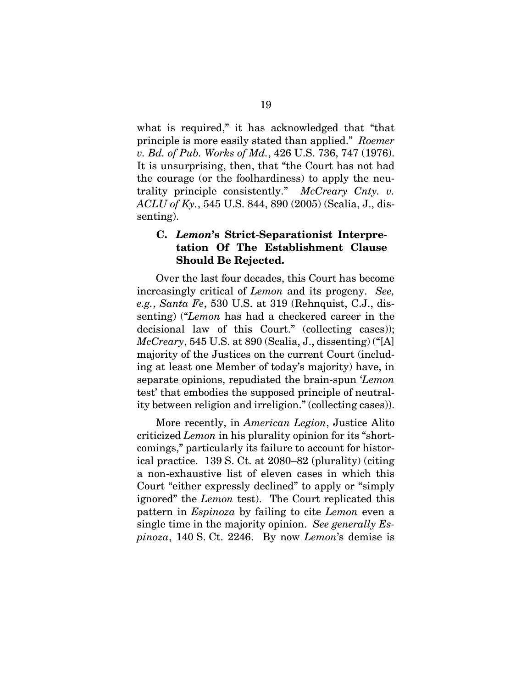what is required," it has acknowledged that "that principle is more easily stated than applied." *Roemer v. Bd. of Pub. Works of Md.*, 426 U.S. 736, 747 (1976). It is unsurprising, then, that "the Court has not had the courage (or the foolhardiness) to apply the neutrality principle consistently." *McCreary Cnty. v. ACLU of Ky.*, 545 U.S. 844, 890 (2005) (Scalia, J., dissenting).

### **C.** *Lemon***'s Strict-Separationist Interpretation Of The Establishment Clause Should Be Rejected.**

Over the last four decades, this Court has become increasingly critical of *Lemon* and its progeny. *See, e.g.*, *Santa Fe*, 530 U.S. at 319 (Rehnquist, C.J., dissenting) ("*Lemon* has had a checkered career in the decisional law of this Court." (collecting cases)); *McCreary*, 545 U.S. at 890 (Scalia, J., dissenting) ("[A] majority of the Justices on the current Court (including at least one Member of today's majority) have, in separate opinions, repudiated the brain-spun '*Lemon* test' that embodies the supposed principle of neutrality between religion and irreligion." (collecting cases)).

More recently, in *American Legion*, Justice Alito criticized *Lemon* in his plurality opinion for its "shortcomings," particularly its failure to account for historical practice. 139 S. Ct. at 2080–82 (plurality) (citing a non-exhaustive list of eleven cases in which this Court "either expressly declined" to apply or "simply ignored" the *Lemon* test). The Court replicated this pattern in *Espinoza* by failing to cite *Lemon* even a single time in the majority opinion. *See generally Espinoza*, 140 S. Ct. 2246. By now *Lemon*'s demise is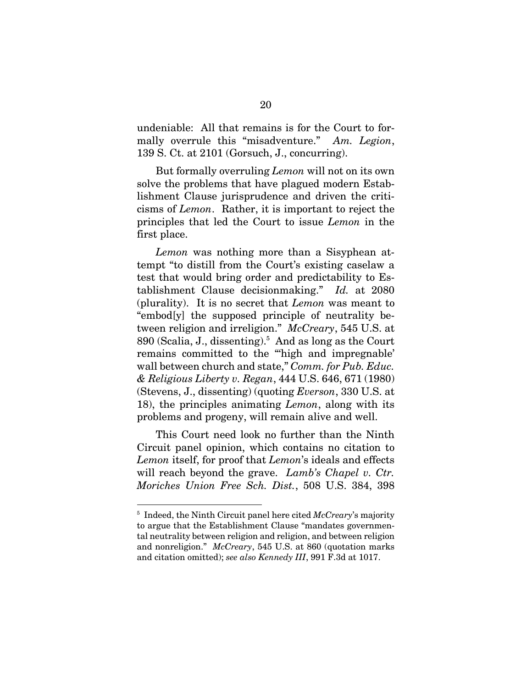undeniable: All that remains is for the Court to formally overrule this "misadventure." *Am. Legion*, 139 S. Ct. at 2101 (Gorsuch, J., concurring).

But formally overruling *Lemon* will not on its own solve the problems that have plagued modern Establishment Clause jurisprudence and driven the criticisms of *Lemon*. Rather, it is important to reject the principles that led the Court to issue *Lemon* in the first place.

*Lemon* was nothing more than a Sisyphean attempt "to distill from the Court's existing caselaw a test that would bring order and predictability to Establishment Clause decisionmaking." *Id.* at 2080 (plurality). It is no secret that *Lemon* was meant to "embod[y] the supposed principle of neutrality between religion and irreligion." *McCreary*, 545 U.S. at 890 (Scalia, J., dissenting).<sup>5</sup> And as long as the Court remains committed to the "'high and impregnable' wall between church and state," *Comm. for Pub. Educ. & Religious Liberty v. Regan*, 444 U.S. 646, 671 (1980) (Stevens, J., dissenting) (quoting *Everson*, 330 U.S. at 18), the principles animating *Lemon*, along with its problems and progeny, will remain alive and well.

This Court need look no further than the Ninth Circuit panel opinion, which contains no citation to *Lemon* itself, for proof that *Lemon*'s ideals and effects will reach beyond the grave. *Lamb's Chapel v. Ctr. Moriches Union Free Sch. Dist.*, 508 U.S. 384, 398

 $\overline{a}$ 

<sup>5</sup> Indeed, the Ninth Circuit panel here cited *McCreary*'s majority to argue that the Establishment Clause "mandates governmental neutrality between religion and religion, and between religion and nonreligion." *McCreary*, 545 U.S. at 860 (quotation marks and citation omitted); *see also Kennedy III*, 991 F.3d at 1017.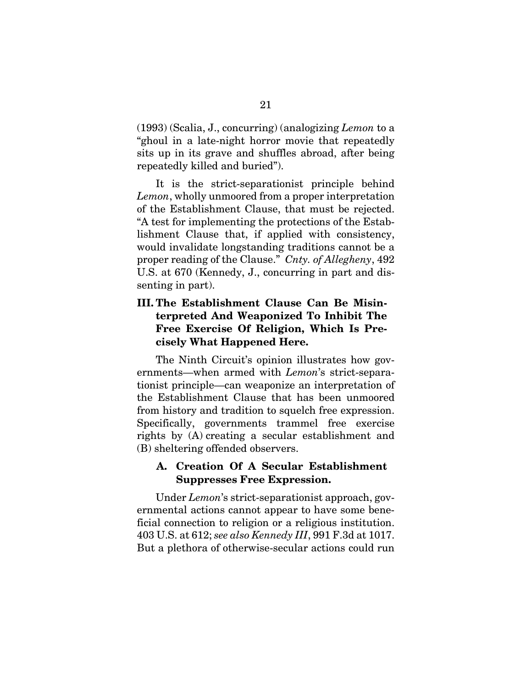(1993) (Scalia, J., concurring) (analogizing *Lemon* to a "ghoul in a late-night horror movie that repeatedly sits up in its grave and shuffles abroad, after being repeatedly killed and buried").

It is the strict-separationist principle behind *Lemon*, wholly unmoored from a proper interpretation of the Establishment Clause, that must be rejected. "A test for implementing the protections of the Establishment Clause that, if applied with consistency, would invalidate longstanding traditions cannot be a proper reading of the Clause." *Cnty. of Allegheny*, 492 U.S. at 670 (Kennedy, J., concurring in part and dissenting in part).

## **III. The Establishment Clause Can Be Misinterpreted And Weaponized To Inhibit The Free Exercise Of Religion, Which Is Precisely What Happened Here.**

The Ninth Circuit's opinion illustrates how governments—when armed with *Lemon*'s strict-separationist principle—can weaponize an interpretation of the Establishment Clause that has been unmoored from history and tradition to squelch free expression. Specifically, governments trammel free exercise rights by (A) creating a secular establishment and (B) sheltering offended observers.

### **A. Creation Of A Secular Establishment Suppresses Free Expression.**

Under *Lemon*'s strict-separationist approach, governmental actions cannot appear to have some beneficial connection to religion or a religious institution. 403 U.S. at 612; *see also Kennedy III*, 991 F.3d at 1017. But a plethora of otherwise-secular actions could run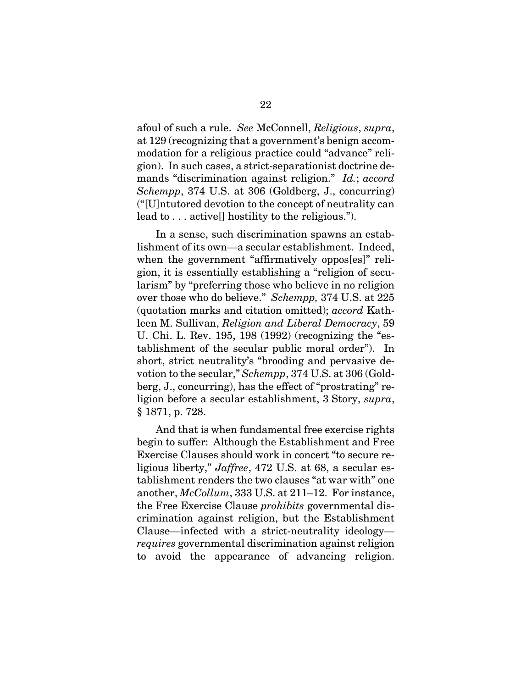afoul of such a rule. *See* McConnell, *Religious*, *supra*, at 129 (recognizing that a government's benign accommodation for a religious practice could "advance" religion). In such cases, a strict-separationist doctrine demands "discrimination against religion." *Id.*; *accord Schempp*, 374 U.S. at 306 (Goldberg, J., concurring) ("[U]ntutored devotion to the concept of neutrality can lead to . . . active[] hostility to the religious.").

In a sense, such discrimination spawns an establishment of its own—a secular establishment. Indeed, when the government "affirmatively oppos[es]" religion, it is essentially establishing a "religion of secularism" by "preferring those who believe in no religion over those who do believe." *Schempp,* 374 U.S. at 225 (quotation marks and citation omitted); *accord* Kathleen M. Sullivan, *Religion and Liberal Democracy*, 59 U. Chi. L. Rev. 195, 198 (1992) (recognizing the "establishment of the secular public moral order"). In short, strict neutrality's "brooding and pervasive devotion to the secular," *Schempp*, 374 U.S. at 306 (Goldberg, J., concurring), has the effect of "prostrating" religion before a secular establishment, 3 Story, *supra*, § 1871, p. 728.

And that is when fundamental free exercise rights begin to suffer: Although the Establishment and Free Exercise Clauses should work in concert "to secure religious liberty," *Jaffree*, 472 U.S. at 68, a secular establishment renders the two clauses "at war with" one another, *McCollum*, 333 U.S. at 211–12. For instance, the Free Exercise Clause *prohibits* governmental discrimination against religion, but the Establishment Clause—infected with a strict-neutrality ideology *requires* governmental discrimination against religion to avoid the appearance of advancing religion.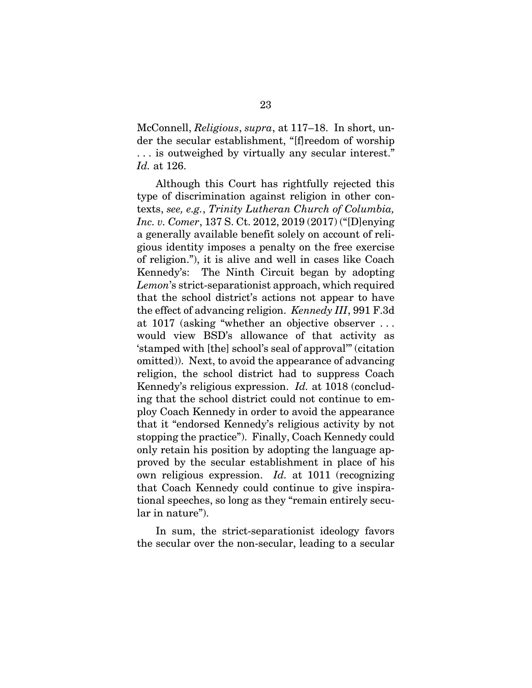McConnell, *Religious*, *supra*, at 117–18. In short, under the secular establishment, "[f]reedom of worship . . . is outweighed by virtually any secular interest." *Id.* at 126.

Although this Court has rightfully rejected this type of discrimination against religion in other contexts, *see, e.g.*, *Trinity Lutheran Church of Columbia, Inc. v. Comer*, 137 S. Ct. 2012, 2019 (2017) ("[D]enying a generally available benefit solely on account of religious identity imposes a penalty on the free exercise of religion."), it is alive and well in cases like Coach Kennedy's: The Ninth Circuit began by adopting *Lemon*'s strict-separationist approach, which required that the school district's actions not appear to have the effect of advancing religion. *Kennedy III*, 991 F.3d at 1017 (asking "whether an objective observer . . . would view BSD's allowance of that activity as 'stamped with [the] school's seal of approval'" (citation omitted)). Next, to avoid the appearance of advancing religion, the school district had to suppress Coach Kennedy's religious expression. *Id.* at 1018 (concluding that the school district could not continue to employ Coach Kennedy in order to avoid the appearance that it "endorsed Kennedy's religious activity by not stopping the practice"). Finally, Coach Kennedy could only retain his position by adopting the language approved by the secular establishment in place of his own religious expression. *Id.* at 1011 (recognizing that Coach Kennedy could continue to give inspirational speeches, so long as they "remain entirely secular in nature").

In sum, the strict-separationist ideology favors the secular over the non-secular, leading to a secular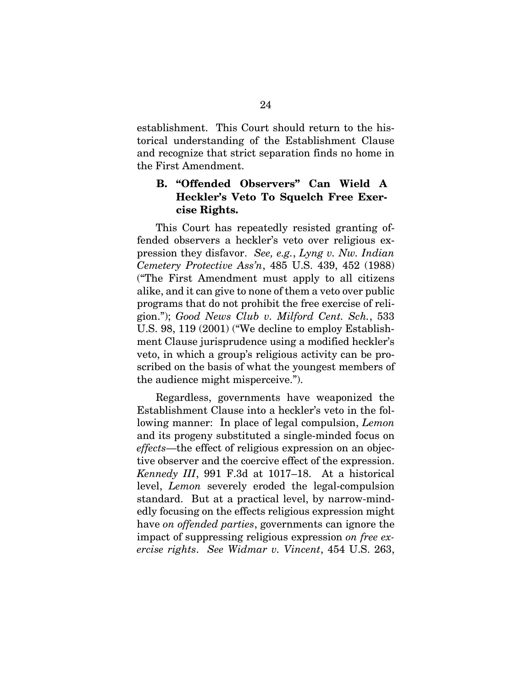establishment. This Court should return to the historical understanding of the Establishment Clause and recognize that strict separation finds no home in the First Amendment.

## **B. "Offended Observers" Can Wield A Heckler's Veto To Squelch Free Exercise Rights.**

This Court has repeatedly resisted granting offended observers a heckler's veto over religious expression they disfavor. *See, e.g.*, *Lyng v. Nw. Indian Cemetery Protective Ass'n*, 485 U.S. 439, 452 (1988) ("The First Amendment must apply to all citizens alike, and it can give to none of them a veto over public programs that do not prohibit the free exercise of religion."); *Good News Club v. Milford Cent. Sch.*, 533 U.S. 98, 119 (2001) ("We decline to employ Establishment Clause jurisprudence using a modified heckler's veto, in which a group's religious activity can be proscribed on the basis of what the youngest members of the audience might misperceive.").

Regardless, governments have weaponized the Establishment Clause into a heckler's veto in the following manner: In place of legal compulsion, *Lemon* and its progeny substituted a single-minded focus on *effects*—the effect of religious expression on an objective observer and the coercive effect of the expression. *Kennedy III*, 991 F.3d at 1017–18. At a historical level, *Lemon* severely eroded the legal-compulsion standard. But at a practical level, by narrow-mindedly focusing on the effects religious expression might have *on offended parties*, governments can ignore the impact of suppressing religious expression *on free exercise rights*. *See Widmar v. Vincent*, 454 U.S. 263,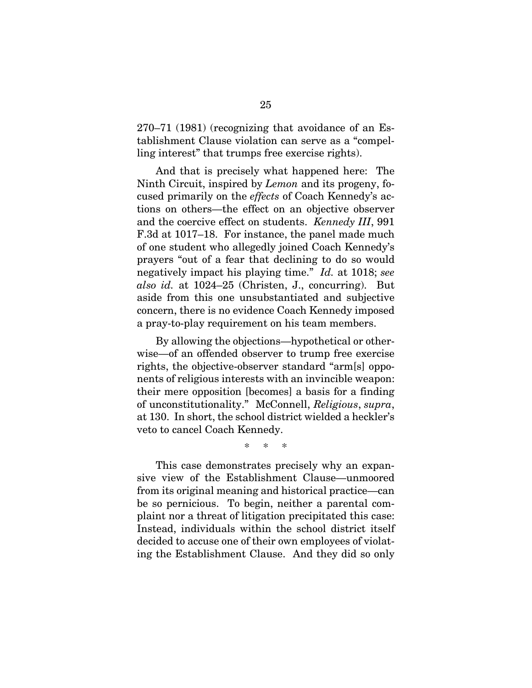270–71 (1981) (recognizing that avoidance of an Establishment Clause violation can serve as a "compelling interest" that trumps free exercise rights).

And that is precisely what happened here: The Ninth Circuit, inspired by *Lemon* and its progeny, focused primarily on the *effects* of Coach Kennedy's actions on others—the effect on an objective observer and the coercive effect on students. *Kennedy III*, 991 F.3d at 1017–18. For instance, the panel made much of one student who allegedly joined Coach Kennedy's prayers "out of a fear that declining to do so would negatively impact his playing time." *Id.* at 1018; *see also id.* at 1024–25 (Christen, J., concurring). But aside from this one unsubstantiated and subjective concern, there is no evidence Coach Kennedy imposed a pray-to-play requirement on his team members.

By allowing the objections—hypothetical or otherwise—of an offended observer to trump free exercise rights, the objective-observer standard "arm[s] opponents of religious interests with an invincible weapon: their mere opposition [becomes] a basis for a finding of unconstitutionality." McConnell, *Religious*, *supra*, at 130. In short, the school district wielded a heckler's veto to cancel Coach Kennedy.

\* \* \*

This case demonstrates precisely why an expansive view of the Establishment Clause—unmoored from its original meaning and historical practice—can be so pernicious. To begin, neither a parental complaint nor a threat of litigation precipitated this case: Instead, individuals within the school district itself decided to accuse one of their own employees of violating the Establishment Clause. And they did so only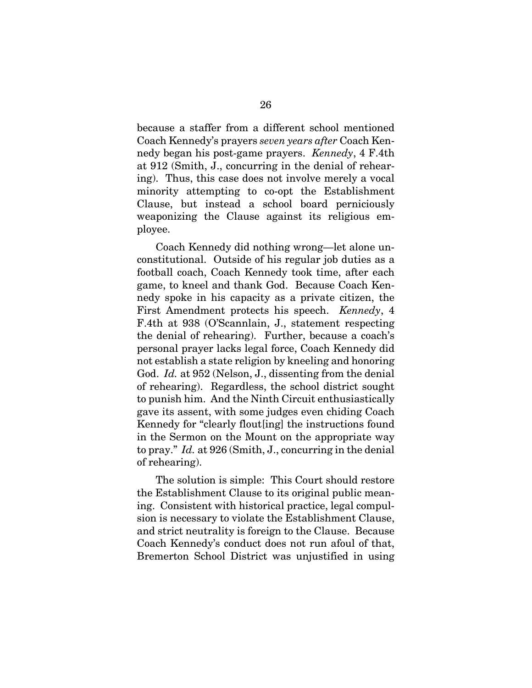because a staffer from a different school mentioned Coach Kennedy's prayers *seven years after* Coach Kennedy began his post-game prayers. *Kennedy*, 4 F.4th at 912 (Smith, J., concurring in the denial of rehearing). Thus, this case does not involve merely a vocal minority attempting to co-opt the Establishment Clause, but instead a school board perniciously weaponizing the Clause against its religious employee.

Coach Kennedy did nothing wrong—let alone unconstitutional. Outside of his regular job duties as a football coach, Coach Kennedy took time, after each game, to kneel and thank God. Because Coach Kennedy spoke in his capacity as a private citizen, the First Amendment protects his speech. *Kennedy*, 4 F.4th at 938 (O'Scannlain, J., statement respecting the denial of rehearing). Further, because a coach's personal prayer lacks legal force, Coach Kennedy did not establish a state religion by kneeling and honoring God. *Id.* at 952 (Nelson, J., dissenting from the denial of rehearing). Regardless, the school district sought to punish him. And the Ninth Circuit enthusiastically gave its assent, with some judges even chiding Coach Kennedy for "clearly flout[ing] the instructions found in the Sermon on the Mount on the appropriate way to pray." *Id.* at 926 (Smith, J., concurring in the denial of rehearing).

The solution is simple: This Court should restore the Establishment Clause to its original public meaning. Consistent with historical practice, legal compulsion is necessary to violate the Establishment Clause, and strict neutrality is foreign to the Clause. Because Coach Kennedy's conduct does not run afoul of that, Bremerton School District was unjustified in using